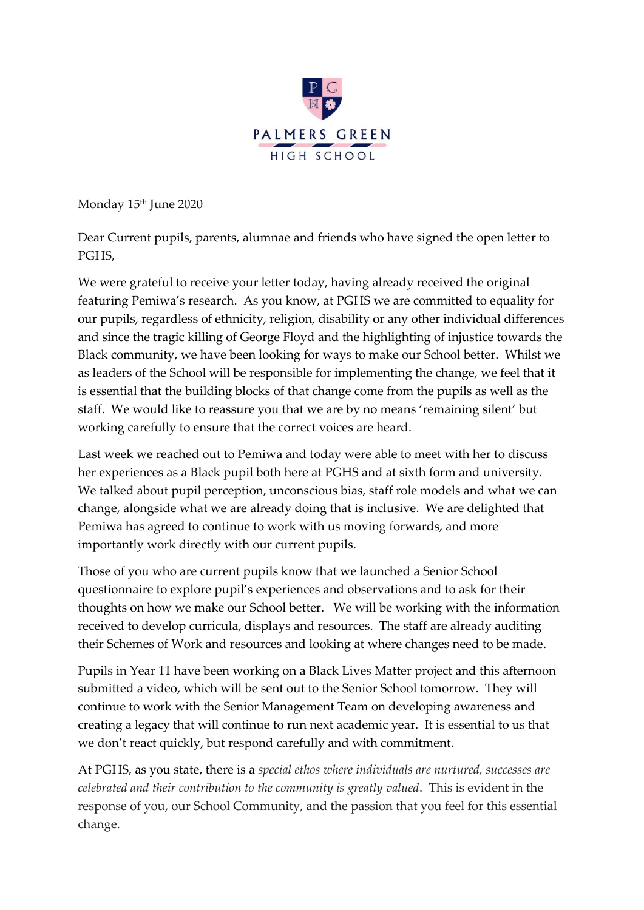

Monday 15<sup>th</sup> June 2020

Dear Current pupils, parents, alumnae and friends who have signed the open letter to PGHS,

We were grateful to receive your letter today, having already received the original featuring Pemiwa's research. As you know, at PGHS we are committed to equality for our pupils, regardless of ethnicity, religion, disability or any other individual differences and since the tragic killing of George Floyd and the highlighting of injustice towards the Black community, we have been looking for ways to make our School better. Whilst we as leaders of the School will be responsible for implementing the change, we feel that it is essential that the building blocks of that change come from the pupils as well as the staff. We would like to reassure you that we are by no means 'remaining silent' but working carefully to ensure that the correct voices are heard.

Last week we reached out to Pemiwa and today were able to meet with her to discuss her experiences as a Black pupil both here at PGHS and at sixth form and university. We talked about pupil perception, unconscious bias, staff role models and what we can change, alongside what we are already doing that is inclusive. We are delighted that Pemiwa has agreed to continue to work with us moving forwards, and more importantly work directly with our current pupils.

Those of you who are current pupils know that we launched a Senior School questionnaire to explore pupil's experiences and observations and to ask for their thoughts on how we make our School better. We will be working with the information received to develop curricula, displays and resources. The staff are already auditing their Schemes of Work and resources and looking at where changes need to be made.

Pupils in Year 11 have been working on a Black Lives Matter project and this afternoon submitted a video, which will be sent out to the Senior School tomorrow. They will continue to work with the Senior Management Team on developing awareness and creating a legacy that will continue to run next academic year. It is essential to us that we don't react quickly, but respond carefully and with commitment.

At PGHS, as you state, there is a *special ethos where individuals are nurtured, successes are celebrated and their contribution to the community is greatly valued*. This is evident in the response of you, our School Community, and the passion that you feel for this essential change.